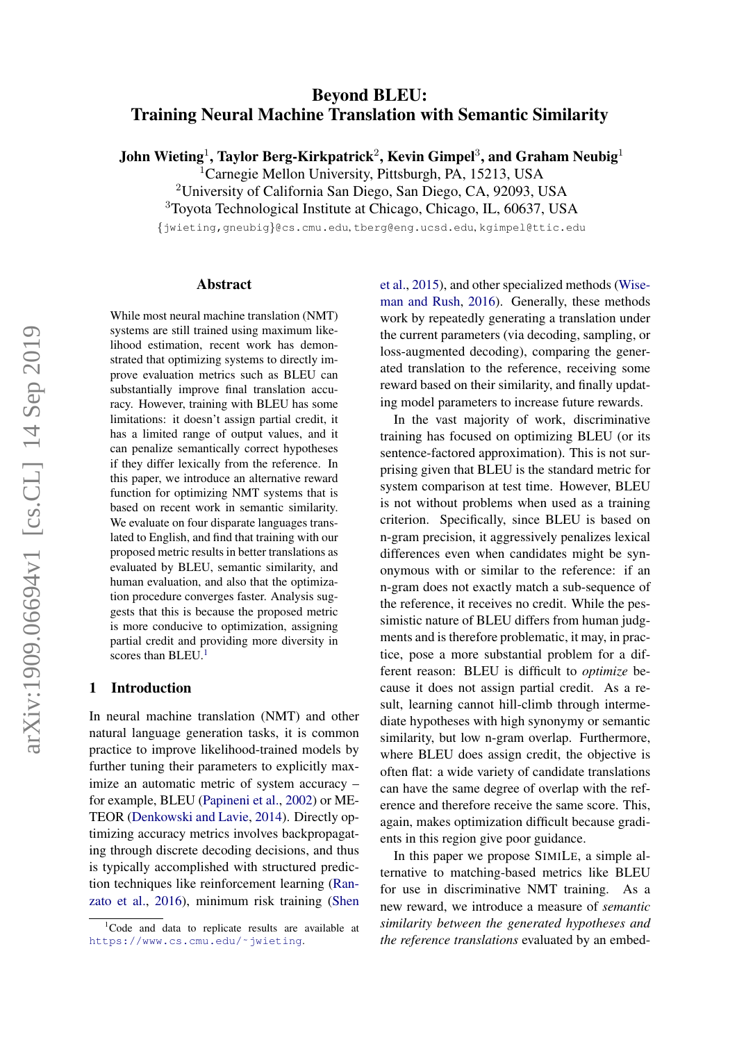# Beyond BLEU: Training Neural Machine Translation with Semantic Similarity

John Wieting<sup>1</sup>, Taylor Berg-Kirkpatrick<sup>2</sup>, Kevin Gimpel<sup>3</sup>, and Graham Neubig<sup>1</sup>

<sup>1</sup>Carnegie Mellon University, Pittsburgh, PA, 15213, USA

<sup>2</sup>University of California San Diego, San Diego, CA, 92093, USA

<sup>3</sup>Toyota Technological Institute at Chicago, Chicago, IL, 60637, USA

{jwieting,gneubig}@cs.cmu.edu, tberg@eng.ucsd.edu, kgimpel@ttic.edu

#### Abstract

While most neural machine translation (NMT) systems are still trained using maximum likelihood estimation, recent work has demonstrated that optimizing systems to directly improve evaluation metrics such as BLEU can substantially improve final translation accuracy. However, training with BLEU has some limitations: it doesn't assign partial credit, it has a limited range of output values, and it can penalize semantically correct hypotheses if they differ lexically from the reference. In this paper, we introduce an alternative reward function for optimizing NMT systems that is based on recent work in semantic similarity. We evaluate on four disparate languages translated to English, and find that training with our proposed metric results in better translations as evaluated by BLEU, semantic similarity, and human evaluation, and also that the optimization procedure converges faster. Analysis suggests that this is because the proposed metric is more conducive to optimization, assigning partial credit and providing more diversity in scores than BLEU.<sup>[1](#page-0-0)</sup>

#### 1 Introduction

In neural machine translation (NMT) and other natural language generation tasks, it is common practice to improve likelihood-trained models by further tuning their parameters to explicitly maximize an automatic metric of system accuracy – for example, BLEU [\(Papineni et al.,](#page-10-0) [2002\)](#page-10-0) or ME-TEOR [\(Denkowski and Lavie,](#page-10-1) [2014\)](#page-10-1). Directly optimizing accuracy metrics involves backpropagating through discrete decoding decisions, and thus is typically accomplished with structured prediction techniques like reinforcement learning [\(Ran](#page-11-0)[zato et al.,](#page-11-0) [2016\)](#page-11-0), minimum risk training [\(Shen](#page-11-1) [et al.,](#page-11-1) [2015\)](#page-11-1), and other specialized methods [\(Wise](#page-11-2)[man and Rush,](#page-11-2) [2016\)](#page-11-2). Generally, these methods work by repeatedly generating a translation under the current parameters (via decoding, sampling, or loss-augmented decoding), comparing the generated translation to the reference, receiving some reward based on their similarity, and finally updating model parameters to increase future rewards.

In the vast majority of work, discriminative training has focused on optimizing BLEU (or its sentence-factored approximation). This is not surprising given that BLEU is the standard metric for system comparison at test time. However, BLEU is not without problems when used as a training criterion. Specifically, since BLEU is based on n-gram precision, it aggressively penalizes lexical differences even when candidates might be synonymous with or similar to the reference: if an n-gram does not exactly match a sub-sequence of the reference, it receives no credit. While the pessimistic nature of BLEU differs from human judgments and is therefore problematic, it may, in practice, pose a more substantial problem for a different reason: BLEU is difficult to *optimize* because it does not assign partial credit. As a result, learning cannot hill-climb through intermediate hypotheses with high synonymy or semantic similarity, but low n-gram overlap. Furthermore, where BLEU does assign credit, the objective is often flat: a wide variety of candidate translations can have the same degree of overlap with the reference and therefore receive the same score. This, again, makes optimization difficult because gradients in this region give poor guidance.

In this paper we propose SIMILE, a simple alternative to matching-based metrics like BLEU for use in discriminative NMT training. As a new reward, we introduce a measure of *semantic similarity between the generated hypotheses and the reference translations* evaluated by an embed-

<span id="page-0-0"></span> $1$ [Code and data to replicate results are available at](#page-11-1) [https://www.cs.cmu.edu/˜jwieting](#page-11-1).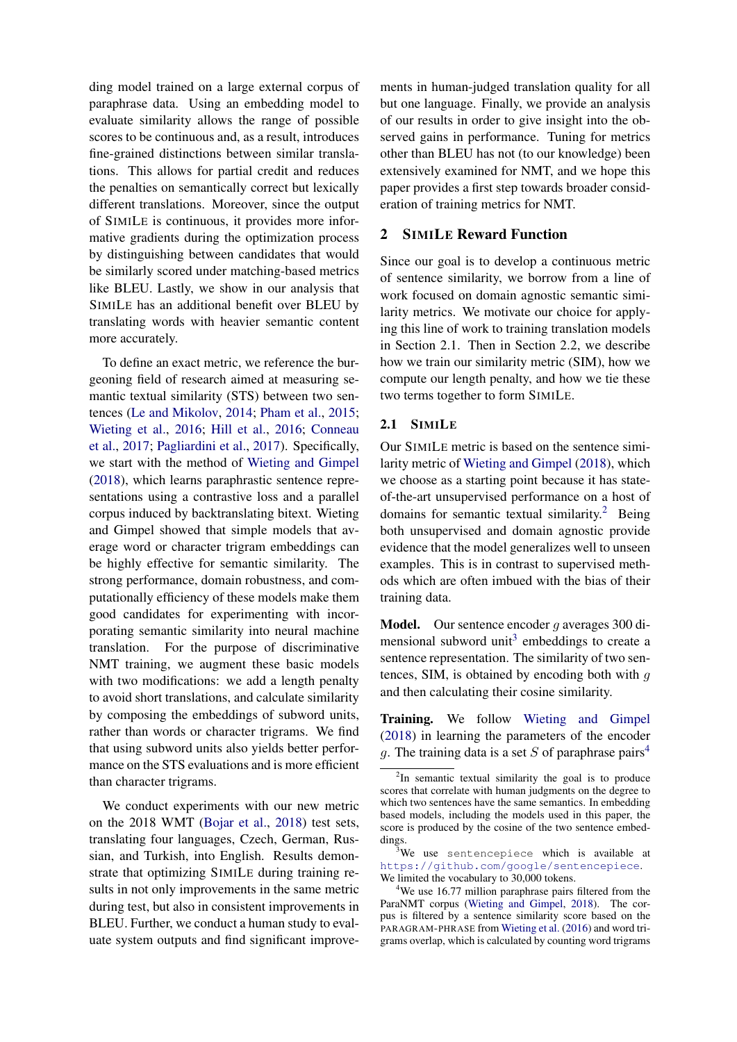ding model trained on a large external corpus of paraphrase data. Using an embedding model to evaluate similarity allows the range of possible scores to be continuous and, as a result, introduces fine-grained distinctions between similar translations. This allows for partial credit and reduces the penalties on semantically correct but lexically different translations. Moreover, since the output of SIMILE is continuous, it provides more informative gradients during the optimization process by distinguishing between candidates that would be similarly scored under matching-based metrics like BLEU. Lastly, we show in our analysis that SIMILE has an additional benefit over BLEU by translating words with heavier semantic content more accurately.

To define an exact metric, we reference the burgeoning field of research aimed at measuring semantic textual similarity (STS) between two sentences [\(Le and Mikolov,](#page-10-2) [2014;](#page-10-2) [Pham et al.,](#page-11-3) [2015;](#page-11-3) [Wieting et al.,](#page-11-4) [2016;](#page-11-4) [Hill et al.,](#page-10-3) [2016;](#page-10-3) [Conneau](#page-10-4) [et al.,](#page-10-4) [2017;](#page-10-4) [Pagliardini et al.,](#page-10-5) [2017\)](#page-10-5). Specifically, we start with the method of [Wieting and Gimpel](#page-11-5) [\(2018\)](#page-11-5), which learns paraphrastic sentence representations using a contrastive loss and a parallel corpus induced by backtranslating bitext. Wieting and Gimpel showed that simple models that average word or character trigram embeddings can be highly effective for semantic similarity. The strong performance, domain robustness, and computationally efficiency of these models make them good candidates for experimenting with incorporating semantic similarity into neural machine translation. For the purpose of discriminative NMT training, we augment these basic models with two modifications: we add a length penalty to avoid short translations, and calculate similarity by composing the embeddings of subword units, rather than words or character trigrams. We find that using subword units also yields better performance on the STS evaluations and is more efficient than character trigrams.

We conduct experiments with our new metric on the 2018 WMT [\(Bojar et al.,](#page-9-0) [2018\)](#page-9-0) test sets, translating four languages, Czech, German, Russian, and Turkish, into English. Results demonstrate that optimizing SIMILE during training results in not only improvements in the same metric during test, but also in consistent improvements in BLEU. Further, we conduct a human study to evaluate system outputs and find significant improve-

ments in human-judged translation quality for all but one language. Finally, we provide an analysis of our results in order to give insight into the observed gains in performance. Tuning for metrics other than BLEU has not (to our knowledge) been extensively examined for NMT, and we hope this paper provides a first step towards broader consideration of training metrics for NMT.

## 2 SIMILE Reward Function

Since our goal is to develop a continuous metric of sentence similarity, we borrow from a line of work focused on domain agnostic semantic similarity metrics. We motivate our choice for applying this line of work to training translation models in Section 2.1. Then in Section 2.2, we describe how we train our similarity metric (SIM), how we compute our length penalty, and how we tie these two terms together to form SIMILE.

#### 2.1 SIMILE

Our SIMILE metric is based on the sentence similarity metric of [Wieting and Gimpel](#page-11-5) [\(2018\)](#page-11-5), which we choose as a starting point because it has stateof-the-art unsupervised performance on a host of domains for semantic textual similarity.<sup>[2](#page-1-0)</sup> Being both unsupervised and domain agnostic provide evidence that the model generalizes well to unseen examples. This is in contrast to supervised methods which are often imbued with the bias of their training data.

**Model.** Our sentence encoder q averages 300 di-mensional subword unit<sup>[3](#page-1-1)</sup> embeddings to create a sentence representation. The similarity of two sentences, SIM, is obtained by encoding both with  $g$ and then calculating their cosine similarity.

Training. We follow [Wieting and Gimpel](#page-11-5) [\(2018\)](#page-11-5) in learning the parameters of the encoder q. The training data is a set S of paraphrase pairs<sup>[4](#page-1-2)</sup>

<span id="page-1-0"></span><sup>&</sup>lt;sup>2</sup>In semantic textual similarity the goal is to produce scores that correlate with human judgments on the degree to which two sentences have the same semantics. In embedding based models, including the models used in this paper, the score is produced by the cosine of the two sentence embeddings.

<span id="page-1-1"></span> $3$ We use sentencepiece which is available at <https://github.com/google/sentencepiece>. We limited the vocabulary to 30,000 tokens.

<span id="page-1-2"></span><sup>&</sup>lt;sup>4</sup>We use 16.77 million paraphrase pairs filtered from the ParaNMT corpus [\(Wieting and Gimpel,](#page-11-5) [2018\)](#page-11-5). The corpus is filtered by a sentence similarity score based on the PARAGRAM-PHRASE from [Wieting et al.](#page-11-4) [\(2016\)](#page-11-4) and word trigrams overlap, which is calculated by counting word trigrams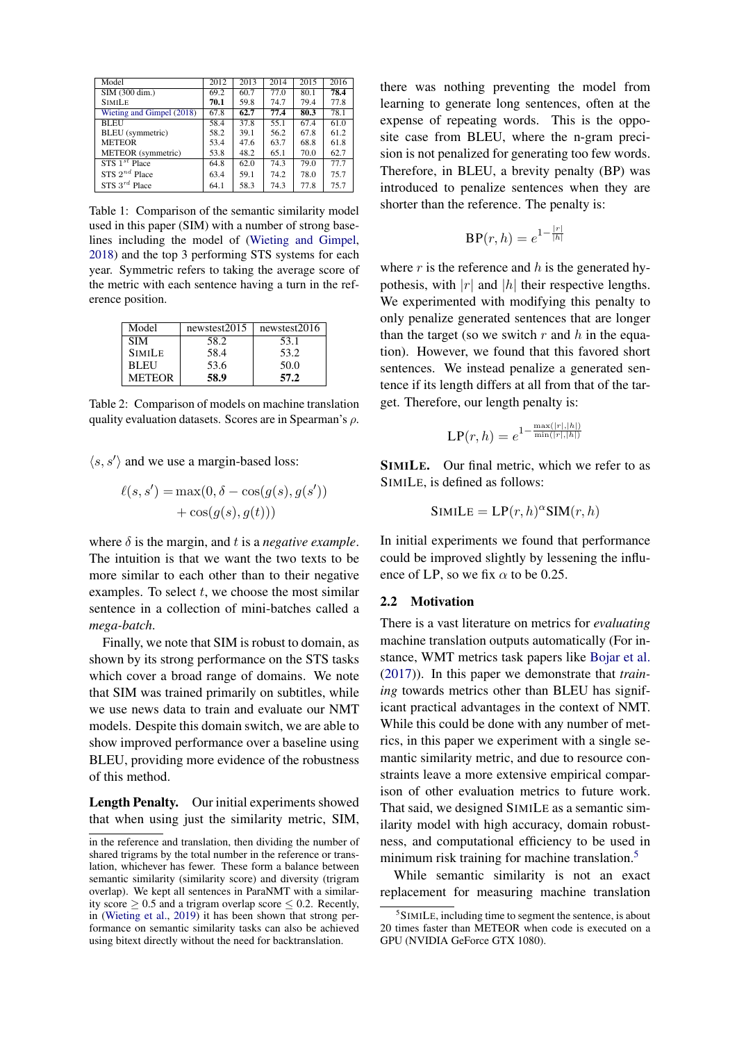<span id="page-2-2"></span>

| Model                     | 2012               | 2013 | 2014 | 2015 | 2016 |
|---------------------------|--------------------|------|------|------|------|
| SIM (300 dim.)            | 69.2               | 60.7 | 77.0 | 80.1 | 78.4 |
| <b>SIMILE</b>             | 70.1               | 59.8 | 74.7 | 79.4 | 77.8 |
| Wieting and Gimpel (2018) | $\overline{67}$ .8 | 62.7 | 77.4 | 80.3 | 78.1 |
| <b>BLEU</b>               | 58.4               | 37.8 | 55.1 | 67.4 | 61.0 |
| BLEU (symmetric)          | 58.2               | 39.1 | 56.2 | 67.8 | 61.2 |
| <b>METEOR</b>             | 53.4               | 47.6 | 63.7 | 68.8 | 61.8 |
| METEOR (symmetric)        | 53.8               | 48.2 | 65.1 | 70.0 | 62.7 |
| $STS$ $1^{st}$ Place      | 64.8               | 62.0 | 74.3 | 79.0 | 77.7 |
| STS $2^{nd}$ Place        | 63.4               | 59.1 | 74.2 | 78.0 | 75.7 |
| STS $3^{rd}$ Place        | 64.1               | 58.3 | 74.3 | 77.8 | 75.7 |

Table 1: Comparison of the semantic similarity model used in this paper (SIM) with a number of strong baselines including the model of [\(Wieting and Gimpel,](#page-11-5) [2018\)](#page-11-5) and the top 3 performing STS systems for each year. Symmetric refers to taking the average score of the metric with each sentence having a turn in the reference position.

<span id="page-2-1"></span>

| Model         | newstest2015 | newstest2016 |
|---------------|--------------|--------------|
| <b>SIM</b>    | 58.2         | 53.1         |
| <b>SIMILE</b> | 58.4         | 53.2         |
| <b>BLEU</b>   | 53.6         | 50.0         |
| <b>METEOR</b> | 58.9         | 57.2         |

Table 2: Comparison of models on machine translation quality evaluation datasets. Scores are in Spearman's  $\rho$ .

 $\langle s, s' \rangle$  and we use a margin-based loss:

$$
\ell(s, s') = \max(0, \delta - \cos(g(s), g(s'))+ \cos(g(s), g(t)))
$$

where  $\delta$  is the margin, and  $t$  is a *negative example*. The intuition is that we want the two texts to be more similar to each other than to their negative examples. To select  $t$ , we choose the most similar sentence in a collection of mini-batches called a *mega-batch*.

Finally, we note that SIM is robust to domain, as shown by its strong performance on the STS tasks which cover a broad range of domains. We note that SIM was trained primarily on subtitles, while we use news data to train and evaluate our NMT models. Despite this domain switch, we are able to show improved performance over a baseline using BLEU, providing more evidence of the robustness of this method.

Length Penalty. Our initial experiments showed that when using just the similarity metric, SIM, there was nothing preventing the model from learning to generate long sentences, often at the expense of repeating words. This is the opposite case from BLEU, where the n-gram precision is not penalized for generating too few words. Therefore, in BLEU, a brevity penalty (BP) was introduced to penalize sentences when they are shorter than the reference. The penalty is:

$$
\text{BP}(r,h) = e^{1 - \frac{|r|}{|h|}}
$$

where r is the reference and h is the generated hypothesis, with  $|r|$  and  $|h|$  their respective lengths. We experimented with modifying this penalty to only penalize generated sentences that are longer than the target (so we switch  $r$  and  $h$  in the equation). However, we found that this favored short sentences. We instead penalize a generated sentence if its length differs at all from that of the target. Therefore, our length penalty is:

$$
\text{LP}(r,h) = e^{1 - \frac{\max(|r|, |h|)}{\min(|r|, |h|)}}
$$

 $\mathbb{R}^n$  is a state

SIMILE. Our final metric, which we refer to as SIMILE, is defined as follows:

$$
SIMILE = LP(r, h)^{\alpha} SIM(r, h)
$$

In initial experiments we found that performance could be improved slightly by lessening the influence of LP, so we fix  $\alpha$  to be 0.25.

## 2.2 Motivation

There is a vast literature on metrics for *evaluating* machine translation outputs automatically (For instance, WMT metrics task papers like [Bojar et al.](#page-9-1) [\(2017\)](#page-9-1)). In this paper we demonstrate that *training* towards metrics other than BLEU has significant practical advantages in the context of NMT. While this could be done with any number of metrics, in this paper we experiment with a single semantic similarity metric, and due to resource constraints leave a more extensive empirical comparison of other evaluation metrics to future work. That said, we designed SIMILE as a semantic similarity model with high accuracy, domain robustness, and computational efficiency to be used in minimum risk training for machine translation.<sup>[5](#page-2-0)</sup>

While semantic similarity is not an exact replacement for measuring machine translation

in the reference and translation, then dividing the number of shared trigrams by the total number in the reference or translation, whichever has fewer. These form a balance between semantic similarity (similarity score) and diversity (trigram overlap). We kept all sentences in ParaNMT with a similarity score  $> 0.5$  and a trigram overlap score  $\leq 0.2$ . Recently, in [\(Wieting et al.,](#page-11-6) [2019\)](#page-11-6) it has been shown that strong performance on semantic similarity tasks can also be achieved using bitext directly without the need for backtranslation.

<span id="page-2-0"></span><sup>5</sup> SIMILE, including time to segment the sentence, is about 20 times faster than METEOR when code is executed on a GPU (NVIDIA GeForce GTX 1080).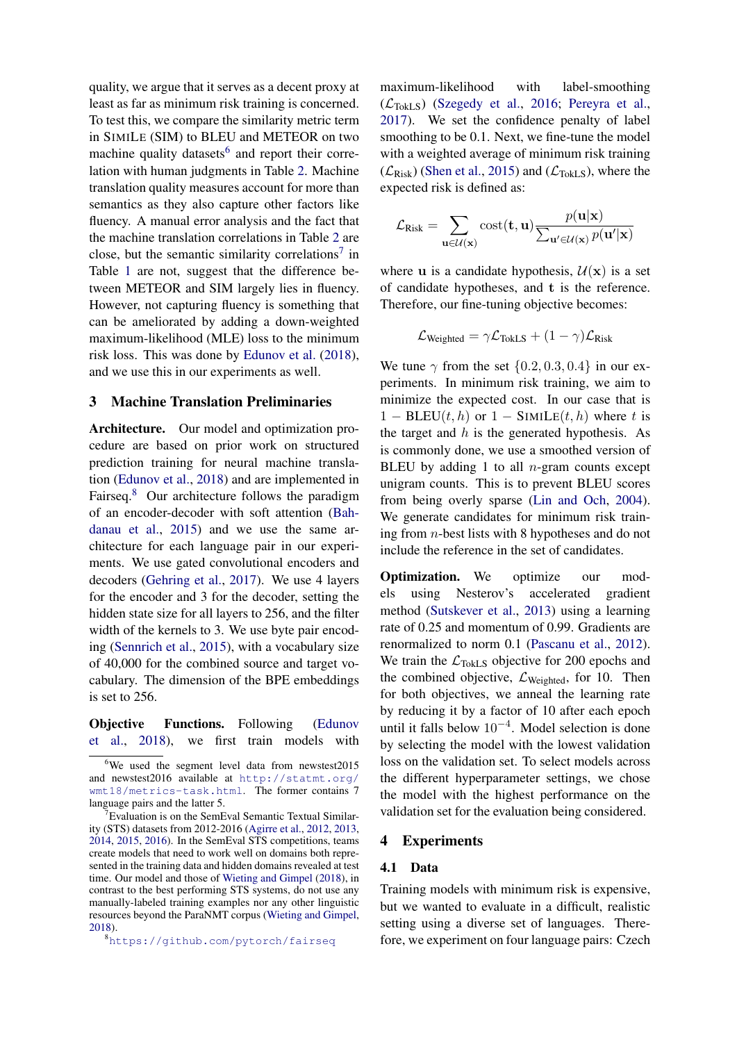quality, we argue that it serves as a decent proxy at least as far as minimum risk training is concerned. To test this, we compare the similarity metric term in SIMILE (SIM) to BLEU and METEOR on two machine quality datasets<sup>[6](#page-3-0)</sup> and report their correlation with human judgments in Table [2.](#page-2-1) Machine translation quality measures account for more than semantics as they also capture other factors like fluency. A manual error analysis and the fact that the machine translation correlations in Table [2](#page-2-1) are close, but the semantic similarity correlations<sup>[7](#page-3-1)</sup> in Table [1](#page-2-2) are not, suggest that the difference between METEOR and SIM largely lies in fluency. However, not capturing fluency is something that can be ameliorated by adding a down-weighted maximum-likelihood (MLE) loss to the minimum risk loss. This was done by [Edunov et al.](#page-10-6) [\(2018\)](#page-10-6), and we use this in our experiments as well.

## <span id="page-3-3"></span>3 Machine Translation Preliminaries

Architecture. Our model and optimization procedure are based on prior work on structured prediction training for neural machine translation [\(Edunov et al.,](#page-10-6) [2018\)](#page-10-6) and are implemented in Fairseq.<sup>[8](#page-3-2)</sup> Our architecture follows the paradigm of an encoder-decoder with soft attention [\(Bah](#page-9-2)[danau et al.,](#page-9-2) [2015\)](#page-9-2) and we use the same architecture for each language pair in our experiments. We use gated convolutional encoders and decoders [\(Gehring et al.,](#page-10-7) [2017\)](#page-10-7). We use 4 layers for the encoder and 3 for the decoder, setting the hidden state size for all layers to 256, and the filter width of the kernels to 3. We use byte pair encoding [\(Sennrich et al.,](#page-11-7) [2015\)](#page-11-7), with a vocabulary size of 40,000 for the combined source and target vocabulary. The dimension of the BPE embeddings is set to 256.

Objective Functions. Following [\(Edunov](#page-10-6) [et al.,](#page-10-6) [2018\)](#page-10-6), we first train models with

<span id="page-3-2"></span><sup>8</sup><https://github.com/pytorch/fairseq>

maximum-likelihood with label-smoothing  $(\mathcal{L}_{\text{TokLS}})$  [\(Szegedy et al.,](#page-11-8) [2016;](#page-11-8) [Pereyra et al.,](#page-10-8) [2017\)](#page-10-8). We set the confidence penalty of label smoothing to be 0.1. Next, we fine-tune the model with a weighted average of minimum risk training  $(\mathcal{L}_{Risk})$  [\(Shen et al.,](#page-11-1) [2015\)](#page-11-1) and  $(\mathcal{L}_{TokLS})$ , where the expected risk is defined as:

$$
\mathcal{L}_{Risk} = \sum_{\mathbf{u} \in \mathcal{U}(\mathbf{x})} cost(\mathbf{t}, \mathbf{u}) \frac{p(\mathbf{u}|\mathbf{x})}{\sum_{\mathbf{u'} \in \mathcal{U}(\mathbf{x})} p(\mathbf{u'}|\mathbf{x})}
$$

where **u** is a candidate hypothesis,  $U(x)$  is a set of candidate hypotheses, and t is the reference. Therefore, our fine-tuning objective becomes:

$$
\mathcal{L}_{\text{Weighted}} = \gamma \mathcal{L}_{\text{TokLS}} + (1 - \gamma) \mathcal{L}_{\text{Risk}}
$$

We tune  $\gamma$  from the set  $\{0.2, 0.3, 0.4\}$  in our experiments. In minimum risk training, we aim to minimize the expected cost. In our case that is  $1 - BLEU(t, h)$  or  $1 - SIMILE(t, h)$  where t is the target and  $h$  is the generated hypothesis. As is commonly done, we use a smoothed version of BLEU by adding 1 to all  $n$ -gram counts except unigram counts. This is to prevent BLEU scores from being overly sparse [\(Lin and Och,](#page-10-9) [2004\)](#page-10-9). We generate candidates for minimum risk training from n-best lists with 8 hypotheses and do not include the reference in the set of candidates.

Optimization. We optimize our models using Nesterov's accelerated gradient method [\(Sutskever et al.,](#page-11-9) [2013\)](#page-11-9) using a learning rate of 0.25 and momentum of 0.99. Gradients are renormalized to norm 0.1 [\(Pascanu et al.,](#page-10-10) [2012\)](#page-10-10). We train the  $\mathcal{L}_{\text{TokLS}}$  objective for 200 epochs and the combined objective,  $\mathcal{L}_{Weighted}$ , for 10. Then for both objectives, we anneal the learning rate by reducing it by a factor of 10 after each epoch until it falls below  $10^{-4}$ . Model selection is done by selecting the model with the lowest validation loss on the validation set. To select models across the different hyperparameter settings, we chose the model with the highest performance on the validation set for the evaluation being considered.

#### 4 Experiments

#### 4.1 Data

Training models with minimum risk is expensive, but we wanted to evaluate in a difficult, realistic setting using a diverse set of languages. Therefore, we experiment on four language pairs: Czech

<span id="page-3-0"></span><sup>6</sup>We used the segment level data from newstest2015 and newstest2016 available at [http://statmt.org/](http://statmt.org/wmt18/metrics-task.html) [wmt18/metrics-task.html](http://statmt.org/wmt18/metrics-task.html). The former contains 7 language pairs and the latter 5.

<span id="page-3-1"></span><sup>&</sup>lt;sup>7</sup>Evaluation is on the SemEval Semantic Textual Similarity (STS) datasets from 2012-2016 [\(Agirre et al.,](#page-9-3) [2012,](#page-9-3) [2013,](#page-9-4) [2014,](#page-9-5) [2015,](#page-9-6) [2016\)](#page-9-7). In the SemEval STS competitions, teams create models that need to work well on domains both represented in the training data and hidden domains revealed at test time. Our model and those of [Wieting and Gimpel](#page-11-5) [\(2018\)](#page-11-5), in contrast to the best performing STS systems, do not use any manually-labeled training examples nor any other linguistic resources beyond the ParaNMT corpus [\(Wieting and Gimpel,](#page-11-5) [2018\)](#page-11-5).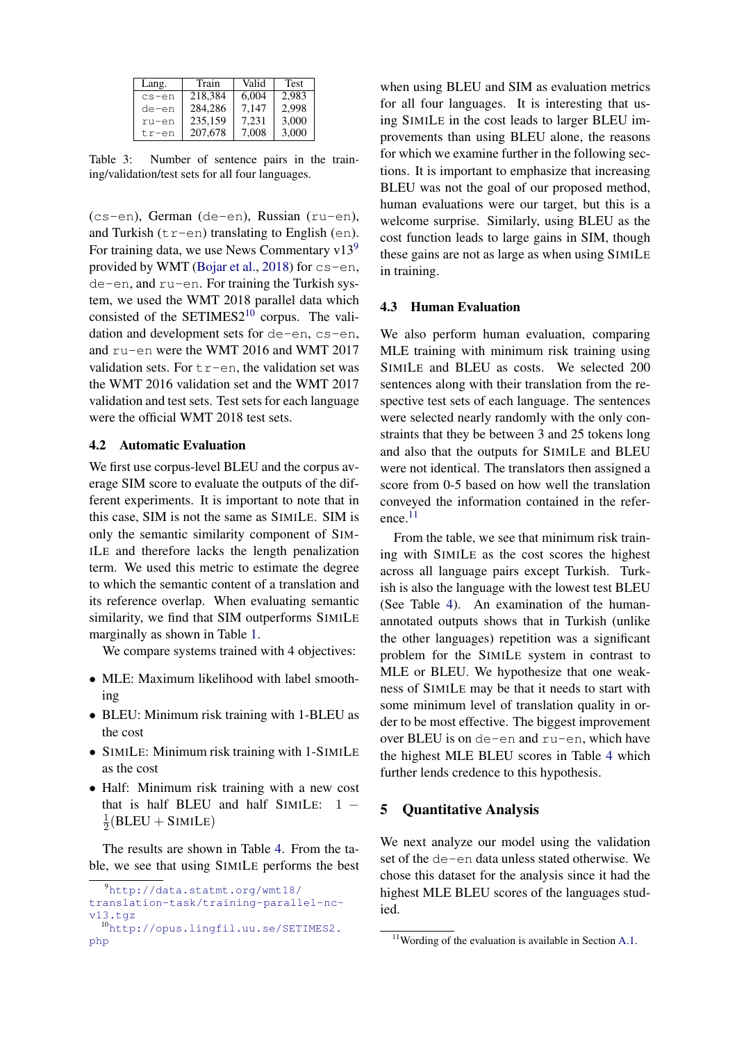| Lang.     | Train   | Valid | Test  |
|-----------|---------|-------|-------|
| $cs - en$ | 218.384 | 6.004 | 2.983 |
| de-en     | 284.286 | 7,147 | 2.998 |
| ru-en     | 235,159 | 7,231 | 3.000 |
| tr-en     | 207,678 | 7.008 | 3.000 |

Table 3: Number of sentence pairs in the training/validation/test sets for all four languages.

(cs-en), German (de-en), Russian (ru-en), and Turkish  $(tr-en)$  translating to English (en). For training data, we use News Commentary  $v13<sup>9</sup>$  $v13<sup>9</sup>$  $v13<sup>9</sup>$ provided by WMT [\(Bojar et al.,](#page-9-0) [2018\)](#page-9-0) for  $cs$ -en, de-en, and ru-en. For training the Turkish system, we used the WMT 2018 parallel data which consisted of the SETIMES $2^{10}$  $2^{10}$  $2^{10}$  corpus. The validation and development sets for de-en, cs-en, and ru-en were the WMT 2016 and WMT 2017 validation sets. For  $tr-en$ , the validation set was the WMT 2016 validation set and the WMT 2017 validation and test sets. Test sets for each language were the official WMT 2018 test sets.

## 4.2 Automatic Evaluation

We first use corpus-level BLEU and the corpus average SIM score to evaluate the outputs of the different experiments. It is important to note that in this case, SIM is not the same as SIMILE. SIM is only the semantic similarity component of SIM-ILE and therefore lacks the length penalization term. We used this metric to estimate the degree to which the semantic content of a translation and its reference overlap. When evaluating semantic similarity, we find that SIM outperforms SIMILE marginally as shown in Table [1.](#page-2-2)

We compare systems trained with 4 objectives:

- MLE: Maximum likelihood with label smoothing
- BLEU: Minimum risk training with 1-BLEU as the cost
- SIMILE: Minimum risk training with 1-SIMILE as the cost
- Half: Minimum risk training with a new cost that is half BLEU and half SIMILE: 1 − 1  $\frac{1}{2}$ (BLEU + SIMILE)

The results are shown in Table [4.](#page-5-0) From the table, we see that using SIMILE performs the best

when using BLEU and SIM as evaluation metrics for all four languages. It is interesting that using SIMILE in the cost leads to larger BLEU improvements than using BLEU alone, the reasons for which we examine further in the following sections. It is important to emphasize that increasing BLEU was not the goal of our proposed method, human evaluations were our target, but this is a welcome surprise. Similarly, using BLEU as the cost function leads to large gains in SIM, though these gains are not as large as when using SIMILE in training.

## 4.3 Human Evaluation

We also perform human evaluation, comparing MLE training with minimum risk training using SIMILE and BLEU as costs. We selected 200 sentences along with their translation from the respective test sets of each language. The sentences were selected nearly randomly with the only constraints that they be between 3 and 25 tokens long and also that the outputs for SIMILE and BLEU were not identical. The translators then assigned a score from 0-5 based on how well the translation conveyed the information contained in the reference.[11](#page-4-2)

From the table, we see that minimum risk training with SIMILE as the cost scores the highest across all language pairs except Turkish. Turkish is also the language with the lowest test BLEU (See Table [4\)](#page-5-0). An examination of the humanannotated outputs shows that in Turkish (unlike the other languages) repetition was a significant problem for the SIMILE system in contrast to MLE or BLEU. We hypothesize that one weakness of SIMILE may be that it needs to start with some minimum level of translation quality in order to be most effective. The biggest improvement over BLEU is on de-en and ru-en, which have the highest MLE BLEU scores in Table [4](#page-5-0) which further lends credence to this hypothesis.

## 5 Quantitative Analysis

We next analyze our model using the validation set of the de-en data unless stated otherwise. We chose this dataset for the analysis since it had the highest MLE BLEU scores of the languages studied.

<span id="page-4-0"></span><sup>9</sup>[http://data.statmt.org/wmt18/](http://data.statmt.org/wmt18/translation-task/training-parallel-nc-v13.tgz) [translation-task/training-parallel-nc](http://data.statmt.org/wmt18/translation-task/training-parallel-nc-v13.tgz)[v13.tgz](http://data.statmt.org/wmt18/translation-task/training-parallel-nc-v13.tgz)

<span id="page-4-1"></span><sup>10</sup>[http://opus.lingfil.uu.se/SETIMES2.](http://opus.lingfil.uu.se/SETIMES2.php) [php](http://opus.lingfil.uu.se/SETIMES2.php)

<span id="page-4-2"></span> $11$ Wording of the evaluation is available in Section [A.1.](#page-9-8)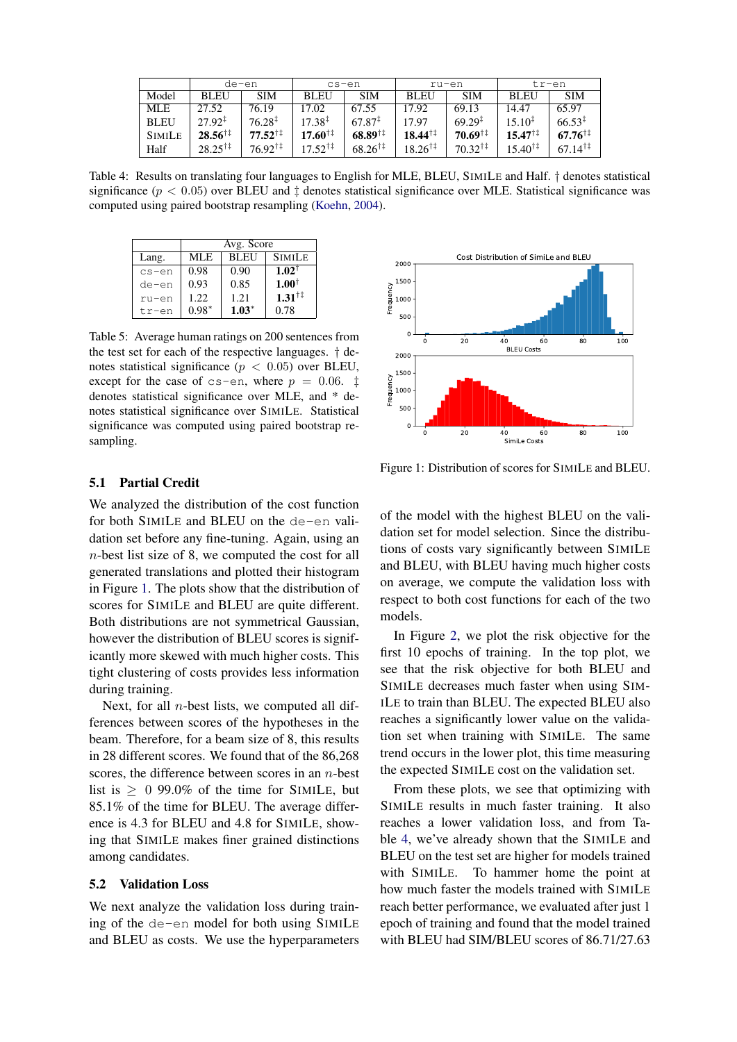<span id="page-5-0"></span>

|               |                           | de-en                     | cs-en                     |                           | ru-en                     |                           | tr-en                     |                    |
|---------------|---------------------------|---------------------------|---------------------------|---------------------------|---------------------------|---------------------------|---------------------------|--------------------|
| Model         | <b>BLEU</b>               | <b>SIM</b>                | <b>BLEU</b>               | <b>SIM</b>                | <b>BLEU</b>               | <b>SIM</b>                | <b>BLEU</b>               | <b>SIM</b>         |
| MLE           | 27.52                     | 76.19                     | 17.02                     | 67.55                     | 17.92                     | 69.13                     | 14.47                     | 65.97              |
| <b>BLEU</b>   | $27.92^{\ddagger}$        | $76.28^{\ddagger}$        | $17.38^{\ddagger}$        | $67.87^{\ddagger}$        | 17.97                     | $69.29$ <sup>1</sup>      | $15.10^{\ddagger}$        | $66.53^{\ddagger}$ |
| <b>SIMILE</b> | $28.56^{\dagger\ddagger}$ | $77.52^{\dagger\ddagger}$ | $17.60^{\dagger\ddagger}$ | $68.89^{\dagger\ddagger}$ | $18.44^{\dagger\ddagger}$ | $70.69^{\dagger}$         | $15.47^{\dagger\ddagger}$ | $67.76^{\dagger}$  |
| Half          | $28.25^{\dagger\ddagger}$ | $76.92^{\dagger\ddagger}$ | $17.52^{\dagger\ddagger}$ | $68.26^{\dagger\ddagger}$ | $18.26^{\dagger\ddagger}$ | $70.32^{\dagger\ddagger}$ | $15.40^{\dagger}$         | $67.14^{\dagger}$  |

Table 4: Results on translating four languages to English for MLE, BLEU, SIMILE and Half. † denotes statistical significance ( $p < 0.05$ ) over BLEU and  $\ddagger$  denotes statistical significance over MLE. Statistical significance was computed using paired bootstrap resampling [\(Koehn,](#page-10-11) [2004\)](#page-10-11).

|           | Avg. Score |             |                          |  |  |  |
|-----------|------------|-------------|--------------------------|--|--|--|
| Lang.     | MLE.       | <b>BLEU</b> | <b>SIMILE</b>            |  |  |  |
| $cs - en$ | 0.98       | 0.90        | $1.02^{\dagger}$         |  |  |  |
| de-en     | 0.93       | 0.85        | $1.00^{\dagger}$         |  |  |  |
| ru-en     | 1.22.      | 1.21        | $1.31^{\dagger\ddagger}$ |  |  |  |
| tr-en     | $0.98*$    | $1.03*$     | 0.78                     |  |  |  |

Table 5: Average human ratings on 200 sentences from the test set for each of the respective languages. † denotes statistical significance ( $p < 0.05$ ) over BLEU, except for the case of cs-en, where  $p = 0.06$ .  $\ddagger$ denotes statistical significance over MLE, and \* denotes statistical significance over SIMILE. Statistical significance was computed using paired bootstrap resampling.

## 5.1 Partial Credit

We analyzed the distribution of the cost function for both SIMILE and BLEU on the de-en validation set before any fine-tuning. Again, using an n-best list size of 8, we computed the cost for all generated translations and plotted their histogram in Figure [1.](#page-5-1) The plots show that the distribution of scores for SIMILE and BLEU are quite different. Both distributions are not symmetrical Gaussian, however the distribution of BLEU scores is significantly more skewed with much higher costs. This tight clustering of costs provides less information during training.

Next, for all  $n$ -best lists, we computed all differences between scores of the hypotheses in the beam. Therefore, for a beam size of 8, this results in 28 different scores. We found that of the 86,268 scores, the difference between scores in an  $n$ -best list is  $\geq 0$  99.0% of the time for SIMILE, but 85.1% of the time for BLEU. The average difference is 4.3 for BLEU and 4.8 for SIMILE, showing that SIMILE makes finer grained distinctions among candidates.

#### 5.2 Validation Loss

We next analyze the validation loss during training of the de-en model for both using SIMILE and BLEU as costs. We use the hyperparameters

<span id="page-5-1"></span>

Figure 1: Distribution of scores for SIMILE and BLEU.

of the model with the highest BLEU on the validation set for model selection. Since the distributions of costs vary significantly between SIMILE and BLEU, with BLEU having much higher costs on average, we compute the validation loss with respect to both cost functions for each of the two models.

In Figure [2,](#page-6-0) we plot the risk objective for the first 10 epochs of training. In the top plot, we see that the risk objective for both BLEU and SIMILE decreases much faster when using SIM-ILE to train than BLEU. The expected BLEU also reaches a significantly lower value on the validation set when training with SIMILE. The same trend occurs in the lower plot, this time measuring the expected SIMILE cost on the validation set.

From these plots, we see that optimizing with SIMILE results in much faster training. It also reaches a lower validation loss, and from Table [4,](#page-5-0) we've already shown that the SIMILE and BLEU on the test set are higher for models trained with SIMILE. To hammer home the point at how much faster the models trained with SIMILE reach better performance, we evaluated after just 1 epoch of training and found that the model trained with BLEU had SIM/BLEU scores of 86.71/27.63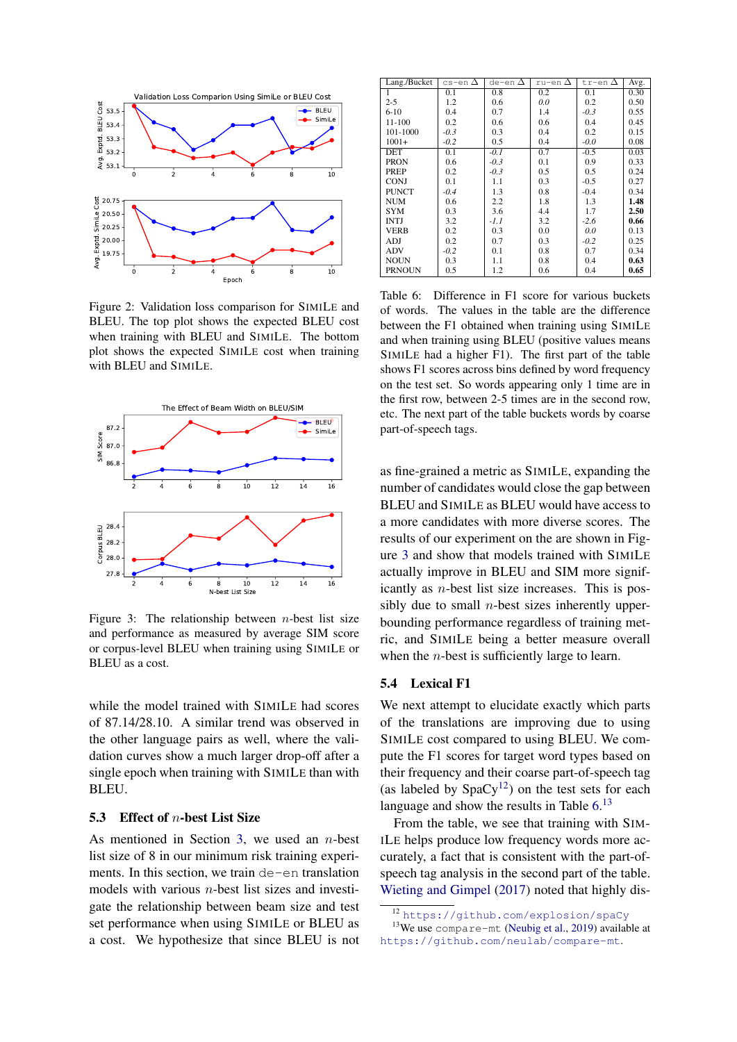<span id="page-6-0"></span>

Figure 2: Validation loss comparison for SIMILE and BLEU. The top plot shows the expected BLEU cost when training with BLEU and SIMILE. The bottom plot shows the expected SIMILE cost when training with BLEU and SIMILE.

<span id="page-6-1"></span>

Figure 3: The relationship between *n*-best list size and performance as measured by average SIM score or corpus-level BLEU when training using SIMILE or BLEU as a cost.

while the model trained with SIMILE had scores of 87.14/28.10. A similar trend was observed in the other language pairs as well, where the validation curves show a much larger drop-off after a single epoch when training with SIMILE than with BLEU.

#### 5.3 Effect of n-best List Size

As mentioned in Section [3,](#page-3-3) we used an  $n$ -best list size of 8 in our minimum risk training experiments. In this section, we train de-en translation models with various  $n$ -best list sizes and investigate the relationship between beam size and test set performance when using SIMILE or BLEU as a cost. We hypothesize that since BLEU is not

<span id="page-6-3"></span>

| Lang./Bucket  | cs-en $\Delta$ | de-en $\Delta$ | ru-en $\Delta$ | tr-en $\Delta$ | Avg. |
|---------------|----------------|----------------|----------------|----------------|------|
|               | 0.1            | 0.8            | 0.2            | 0.1            | 0.30 |
| $2 - 5$       | 1.2            | 0.6            | 0.0            | 0.2            | 0.50 |
| $6 - 10$      | 0.4            | 0.7            | 1.4            | $-0.3$         | 0.55 |
| 11-100        | 0.2            | 0.6            | 0.6            | 0.4            | 0.45 |
| 101-1000      | $-0.3$         | 0.3            | 0.4            | 0.2            | 0.15 |
| $1001+$       | $-0.2$         | 0.5            | 0.4            | $-0.0$         | 0.08 |
| DET           | 0.1            | $-0.1$         | 0.7            | $-0.5$         | 0.03 |
| <b>PRON</b>   | 0.6            | $-0.3$         | 0.1            | 0.9            | 0.33 |
| <b>PREP</b>   | 0.2            | $-0.3$         | 0.5            | 0.5            | 0.24 |
| <b>CONJ</b>   | 0.1            | 1.1            | 0.3            | $-0.5$         | 0.27 |
| <b>PUNCT</b>  | $-0.4$         | 1.3            | 0.8            | $-0.4$         | 0.34 |
| <b>NUM</b>    | 0.6            | 2.2            | 1.8            | 1.3            | 1.48 |
| <b>SYM</b>    | 0.3            | 3.6            | 4.4            | 1.7            | 2.50 |
| <b>INTJ</b>   | 3.2            | $-1.1$         | 3.2            | $-2.6$         | 0.66 |
| <b>VERB</b>   | 0.2            | 0.3            | 0.0            | 0.0            | 0.13 |
| ADJ           | 0.2            | 0.7            | 0.3            | $-0.2$         | 0.25 |
| ADV           | $-0.2$         | 0.1            | 0.8            | 0.7            | 0.34 |
| <b>NOUN</b>   | 0.3            | 1.1            | 0.8            | 0.4            | 0.63 |
| <b>PRNOUN</b> | 0.5            | 1.2            | 0.6            | 0.4            | 0.65 |

Table 6: Difference in F1 score for various buckets of words. The values in the table are the difference between the F1 obtained when training using SIMILE and when training using BLEU (positive values means SIMILE had a higher F1). The first part of the table shows F1 scores across bins defined by word frequency on the test set. So words appearing only 1 time are in the first row, between 2-5 times are in the second row, etc. The next part of the table buckets words by coarse part-of-speech tags.

as fine-grained a metric as SIMILE, expanding the number of candidates would close the gap between BLEU and SIMILE as BLEU would have access to a more candidates with more diverse scores. The results of our experiment on the are shown in Figure [3](#page-6-1) and show that models trained with SIMILE actually improve in BLEU and SIM more significantly as n-best list size increases. This is possibly due to small *n*-best sizes inherently upperbounding performance regardless of training metric, and SIMILE being a better measure overall when the *n*-best is sufficiently large to learn.

#### 5.4 Lexical F1

We next attempt to elucidate exactly which parts of the translations are improving due to using SIMILE cost compared to using BLEU. We compute the F1 scores for target word types based on their frequency and their coarse part-of-speech tag (as labeled by  $SpaCy^{12}$  $SpaCy^{12}$  $SpaCy^{12}$ ) on the test sets for each language and show the results in Table  $6<sup>13</sup>$  $6<sup>13</sup>$  $6<sup>13</sup>$ 

From the table, we see that training with SIM-ILE helps produce low frequency words more accurately, a fact that is consistent with the part-ofspeech tag analysis in the second part of the table. [Wieting and Gimpel](#page-11-10) [\(2017\)](#page-11-10) noted that highly dis-

 $13$ We use compare-mt [\(Neubig et al.,](#page-10-12) [2019\)](#page-10-12) available at <https://github.com/neulab/compare-mt>.

<span id="page-6-4"></span><span id="page-6-2"></span><sup>12</sup> <https://github.com/explosion/spaCy>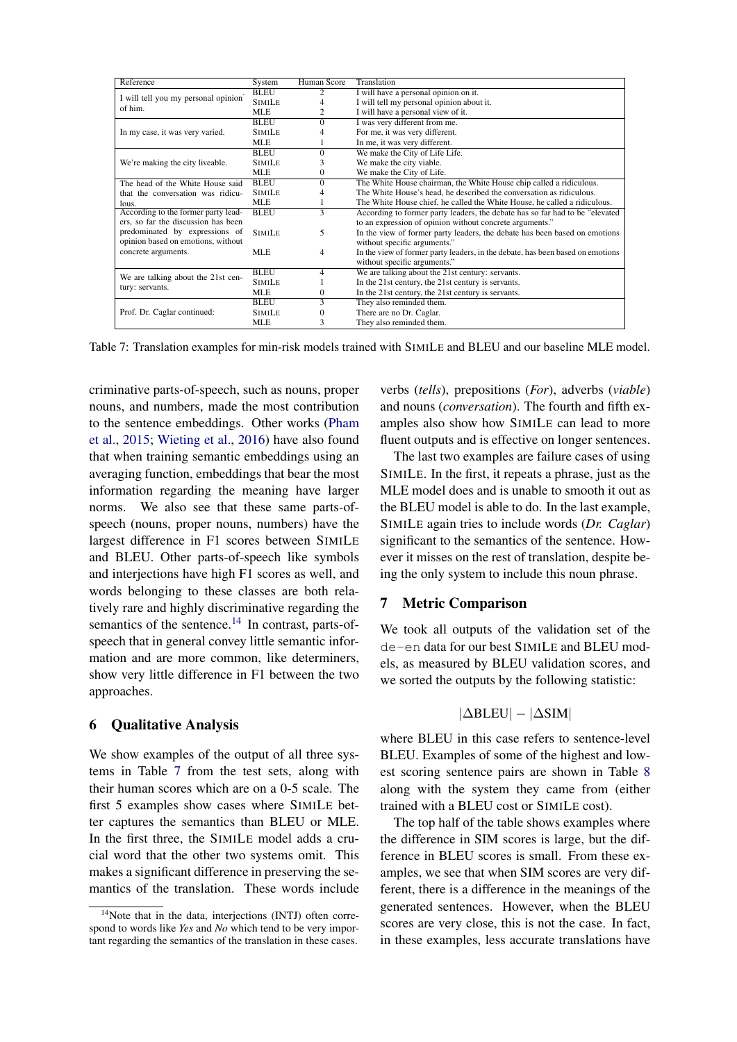<span id="page-7-1"></span>

| <b>BLEU</b><br>I will have a personal opinion on it.<br>$\mathfrak{2}$<br>I will tell you my personal opinion<br>I will tell my personal opinion about it.<br><b>SIMILE</b><br>4<br>of him.<br>I will have a personal view of it.<br>MLE.<br>2<br><b>BLEU</b><br>I was very different from me.<br>$\Omega$<br>For me, it was very different.<br><b>SIMILE</b><br>In my case, it was very varied.<br>4<br>In me, it was very different.<br>MLE.<br>We make the City of Life Life.<br><b>BLEU</b><br>$\Omega$<br>We make the city viable.<br>We're making the city liveable.<br><b>SIMILE</b><br>3<br>We make the City of Life.<br>MLE.<br>$\mathbf{0}$<br><b>BLEU</b><br>$\Omega$<br>The White House chairman, the White House chip called a ridiculous.<br>The head of the White House said<br>The White House's head, he described the conversation as ridiculous.<br><b>SIMILE</b><br>4<br>that the conversation was ridicu-<br>MLE.<br>The White House chief, he called the White House, he called a ridiculous.<br>1<br>lous.<br>According to the former party lead-<br><b>BLEU</b><br>$\overline{3}$<br>According to former party leaders, the debate has so far had to be "elevated"<br>ers, so far the discussion has been<br>to an expression of opinion without concrete arguments."<br>predominated by expressions of<br>5<br>In the view of former party leaders, the debate has been based on emotions<br><b>SIMILE</b><br>opinion based on emotions, without<br>without specific arguments."<br>concrete arguments.<br>MLE.<br>$\overline{4}$<br>In the view of former party leaders, in the debate, has been based on emotions<br>without specific arguments."<br>We are talking about the 21st century: servants.<br><b>BLEU</b><br>4<br>We are talking about the 21st cen-<br><b>SIMILE</b><br>In the 21st century, the 21st century is servants.<br>tury: servants.<br>In the 21st century, the 21st century is servants.<br>MLE.<br>0<br>3<br>They also reminded them.<br><b>BLEU</b><br>There are no Dr. Caglar.<br>Prof. Dr. Caglar continued:<br><b>SIMILE</b><br>0<br>3<br>They also reminded them.<br>MLE. | Reference | System | Human Score | Translation |
|-----------------------------------------------------------------------------------------------------------------------------------------------------------------------------------------------------------------------------------------------------------------------------------------------------------------------------------------------------------------------------------------------------------------------------------------------------------------------------------------------------------------------------------------------------------------------------------------------------------------------------------------------------------------------------------------------------------------------------------------------------------------------------------------------------------------------------------------------------------------------------------------------------------------------------------------------------------------------------------------------------------------------------------------------------------------------------------------------------------------------------------------------------------------------------------------------------------------------------------------------------------------------------------------------------------------------------------------------------------------------------------------------------------------------------------------------------------------------------------------------------------------------------------------------------------------------------------------------------------------------------------------------------------------------------------------------------------------------------------------------------------------------------------------------------------------------------------------------------------------------------------------------------------------------------------------------------------------------------------------------------------------------------------------------------------------------------------------------------------------------------------|-----------|--------|-------------|-------------|
|                                                                                                                                                                                                                                                                                                                                                                                                                                                                                                                                                                                                                                                                                                                                                                                                                                                                                                                                                                                                                                                                                                                                                                                                                                                                                                                                                                                                                                                                                                                                                                                                                                                                                                                                                                                                                                                                                                                                                                                                                                                                                                                                   |           |        |             |             |
|                                                                                                                                                                                                                                                                                                                                                                                                                                                                                                                                                                                                                                                                                                                                                                                                                                                                                                                                                                                                                                                                                                                                                                                                                                                                                                                                                                                                                                                                                                                                                                                                                                                                                                                                                                                                                                                                                                                                                                                                                                                                                                                                   |           |        |             |             |
|                                                                                                                                                                                                                                                                                                                                                                                                                                                                                                                                                                                                                                                                                                                                                                                                                                                                                                                                                                                                                                                                                                                                                                                                                                                                                                                                                                                                                                                                                                                                                                                                                                                                                                                                                                                                                                                                                                                                                                                                                                                                                                                                   |           |        |             |             |
|                                                                                                                                                                                                                                                                                                                                                                                                                                                                                                                                                                                                                                                                                                                                                                                                                                                                                                                                                                                                                                                                                                                                                                                                                                                                                                                                                                                                                                                                                                                                                                                                                                                                                                                                                                                                                                                                                                                                                                                                                                                                                                                                   |           |        |             |             |
|                                                                                                                                                                                                                                                                                                                                                                                                                                                                                                                                                                                                                                                                                                                                                                                                                                                                                                                                                                                                                                                                                                                                                                                                                                                                                                                                                                                                                                                                                                                                                                                                                                                                                                                                                                                                                                                                                                                                                                                                                                                                                                                                   |           |        |             |             |
|                                                                                                                                                                                                                                                                                                                                                                                                                                                                                                                                                                                                                                                                                                                                                                                                                                                                                                                                                                                                                                                                                                                                                                                                                                                                                                                                                                                                                                                                                                                                                                                                                                                                                                                                                                                                                                                                                                                                                                                                                                                                                                                                   |           |        |             |             |
|                                                                                                                                                                                                                                                                                                                                                                                                                                                                                                                                                                                                                                                                                                                                                                                                                                                                                                                                                                                                                                                                                                                                                                                                                                                                                                                                                                                                                                                                                                                                                                                                                                                                                                                                                                                                                                                                                                                                                                                                                                                                                                                                   |           |        |             |             |
|                                                                                                                                                                                                                                                                                                                                                                                                                                                                                                                                                                                                                                                                                                                                                                                                                                                                                                                                                                                                                                                                                                                                                                                                                                                                                                                                                                                                                                                                                                                                                                                                                                                                                                                                                                                                                                                                                                                                                                                                                                                                                                                                   |           |        |             |             |
|                                                                                                                                                                                                                                                                                                                                                                                                                                                                                                                                                                                                                                                                                                                                                                                                                                                                                                                                                                                                                                                                                                                                                                                                                                                                                                                                                                                                                                                                                                                                                                                                                                                                                                                                                                                                                                                                                                                                                                                                                                                                                                                                   |           |        |             |             |
|                                                                                                                                                                                                                                                                                                                                                                                                                                                                                                                                                                                                                                                                                                                                                                                                                                                                                                                                                                                                                                                                                                                                                                                                                                                                                                                                                                                                                                                                                                                                                                                                                                                                                                                                                                                                                                                                                                                                                                                                                                                                                                                                   |           |        |             |             |
|                                                                                                                                                                                                                                                                                                                                                                                                                                                                                                                                                                                                                                                                                                                                                                                                                                                                                                                                                                                                                                                                                                                                                                                                                                                                                                                                                                                                                                                                                                                                                                                                                                                                                                                                                                                                                                                                                                                                                                                                                                                                                                                                   |           |        |             |             |
|                                                                                                                                                                                                                                                                                                                                                                                                                                                                                                                                                                                                                                                                                                                                                                                                                                                                                                                                                                                                                                                                                                                                                                                                                                                                                                                                                                                                                                                                                                                                                                                                                                                                                                                                                                                                                                                                                                                                                                                                                                                                                                                                   |           |        |             |             |
|                                                                                                                                                                                                                                                                                                                                                                                                                                                                                                                                                                                                                                                                                                                                                                                                                                                                                                                                                                                                                                                                                                                                                                                                                                                                                                                                                                                                                                                                                                                                                                                                                                                                                                                                                                                                                                                                                                                                                                                                                                                                                                                                   |           |        |             |             |
|                                                                                                                                                                                                                                                                                                                                                                                                                                                                                                                                                                                                                                                                                                                                                                                                                                                                                                                                                                                                                                                                                                                                                                                                                                                                                                                                                                                                                                                                                                                                                                                                                                                                                                                                                                                                                                                                                                                                                                                                                                                                                                                                   |           |        |             |             |
|                                                                                                                                                                                                                                                                                                                                                                                                                                                                                                                                                                                                                                                                                                                                                                                                                                                                                                                                                                                                                                                                                                                                                                                                                                                                                                                                                                                                                                                                                                                                                                                                                                                                                                                                                                                                                                                                                                                                                                                                                                                                                                                                   |           |        |             |             |
|                                                                                                                                                                                                                                                                                                                                                                                                                                                                                                                                                                                                                                                                                                                                                                                                                                                                                                                                                                                                                                                                                                                                                                                                                                                                                                                                                                                                                                                                                                                                                                                                                                                                                                                                                                                                                                                                                                                                                                                                                                                                                                                                   |           |        |             |             |
|                                                                                                                                                                                                                                                                                                                                                                                                                                                                                                                                                                                                                                                                                                                                                                                                                                                                                                                                                                                                                                                                                                                                                                                                                                                                                                                                                                                                                                                                                                                                                                                                                                                                                                                                                                                                                                                                                                                                                                                                                                                                                                                                   |           |        |             |             |
|                                                                                                                                                                                                                                                                                                                                                                                                                                                                                                                                                                                                                                                                                                                                                                                                                                                                                                                                                                                                                                                                                                                                                                                                                                                                                                                                                                                                                                                                                                                                                                                                                                                                                                                                                                                                                                                                                                                                                                                                                                                                                                                                   |           |        |             |             |
|                                                                                                                                                                                                                                                                                                                                                                                                                                                                                                                                                                                                                                                                                                                                                                                                                                                                                                                                                                                                                                                                                                                                                                                                                                                                                                                                                                                                                                                                                                                                                                                                                                                                                                                                                                                                                                                                                                                                                                                                                                                                                                                                   |           |        |             |             |
|                                                                                                                                                                                                                                                                                                                                                                                                                                                                                                                                                                                                                                                                                                                                                                                                                                                                                                                                                                                                                                                                                                                                                                                                                                                                                                                                                                                                                                                                                                                                                                                                                                                                                                                                                                                                                                                                                                                                                                                                                                                                                                                                   |           |        |             |             |
|                                                                                                                                                                                                                                                                                                                                                                                                                                                                                                                                                                                                                                                                                                                                                                                                                                                                                                                                                                                                                                                                                                                                                                                                                                                                                                                                                                                                                                                                                                                                                                                                                                                                                                                                                                                                                                                                                                                                                                                                                                                                                                                                   |           |        |             |             |
|                                                                                                                                                                                                                                                                                                                                                                                                                                                                                                                                                                                                                                                                                                                                                                                                                                                                                                                                                                                                                                                                                                                                                                                                                                                                                                                                                                                                                                                                                                                                                                                                                                                                                                                                                                                                                                                                                                                                                                                                                                                                                                                                   |           |        |             |             |
|                                                                                                                                                                                                                                                                                                                                                                                                                                                                                                                                                                                                                                                                                                                                                                                                                                                                                                                                                                                                                                                                                                                                                                                                                                                                                                                                                                                                                                                                                                                                                                                                                                                                                                                                                                                                                                                                                                                                                                                                                                                                                                                                   |           |        |             |             |
|                                                                                                                                                                                                                                                                                                                                                                                                                                                                                                                                                                                                                                                                                                                                                                                                                                                                                                                                                                                                                                                                                                                                                                                                                                                                                                                                                                                                                                                                                                                                                                                                                                                                                                                                                                                                                                                                                                                                                                                                                                                                                                                                   |           |        |             |             |

Table 7: Translation examples for min-risk models trained with SIMILE and BLEU and our baseline MLE model.

criminative parts-of-speech, such as nouns, proper nouns, and numbers, made the most contribution to the sentence embeddings. Other works [\(Pham](#page-11-3) [et al.,](#page-11-3) [2015;](#page-11-3) [Wieting et al.,](#page-11-4) [2016\)](#page-11-4) have also found that when training semantic embeddings using an averaging function, embeddings that bear the most information regarding the meaning have larger norms. We also see that these same parts-ofspeech (nouns, proper nouns, numbers) have the largest difference in F1 scores between SIMILE and BLEU. Other parts-of-speech like symbols and interjections have high F1 scores as well, and words belonging to these classes are both relatively rare and highly discriminative regarding the semantics of the sentence.<sup>[14](#page-7-0)</sup> In contrast, parts-ofspeech that in general convey little semantic information and are more common, like determiners, show very little difference in F1 between the two approaches.

#### 6 Qualitative Analysis

We show examples of the output of all three systems in Table [7](#page-7-1) from the test sets, along with their human scores which are on a 0-5 scale. The first 5 examples show cases where SIMILE better captures the semantics than BLEU or MLE. In the first three, the SIMILE model adds a crucial word that the other two systems omit. This makes a significant difference in preserving the semantics of the translation. These words include verbs (*tells*), prepositions (*For*), adverbs (*viable*) and nouns (*conversation*). The fourth and fifth examples also show how SIMILE can lead to more fluent outputs and is effective on longer sentences.

The last two examples are failure cases of using SIMILE. In the first, it repeats a phrase, just as the MLE model does and is unable to smooth it out as the BLEU model is able to do. In the last example, SIMILE again tries to include words (*Dr. Caglar*) significant to the semantics of the sentence. However it misses on the rest of translation, despite being the only system to include this noun phrase.

#### 7 Metric Comparison

We took all outputs of the validation set of the de-en data for our best SIMILE and BLEU models, as measured by BLEU validation scores, and we sorted the outputs by the following statistic:

$$
|\Delta BLEU| - |\Delta SIM|
$$

where BLEU in this case refers to sentence-level BLEU. Examples of some of the highest and lowest scoring sentence pairs are shown in Table [8](#page-8-0) along with the system they came from (either trained with a BLEU cost or SIMILE cost).

The top half of the table shows examples where the difference in SIM scores is large, but the difference in BLEU scores is small. From these examples, we see that when SIM scores are very different, there is a difference in the meanings of the generated sentences. However, when the BLEU scores are very close, this is not the case. In fact, in these examples, less accurate translations have

<span id="page-7-0"></span><sup>&</sup>lt;sup>14</sup>Note that in the data, interjections (INTJ) often correspond to words like *Yes* and *No* which tend to be very important regarding the semantics of the translation in these cases.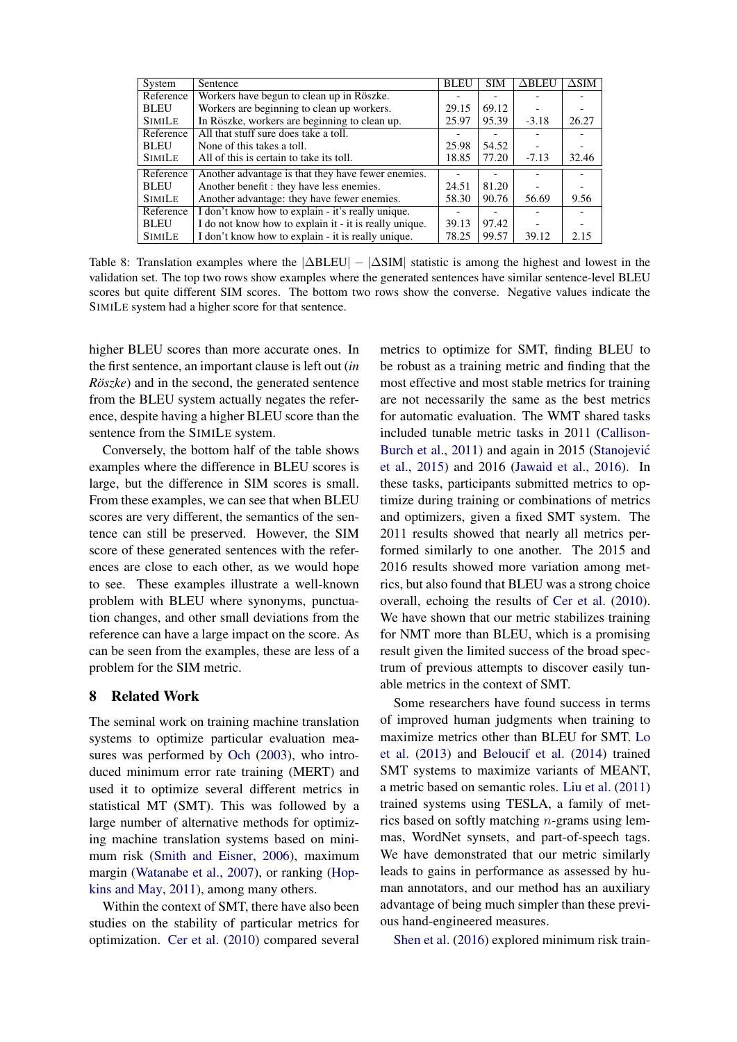<span id="page-8-0"></span>

| System        | Sentence                                               | <b>BLEU</b> | <b>SIM</b> | $\Delta$ BLEU | $\Delta$ SIM |
|---------------|--------------------------------------------------------|-------------|------------|---------------|--------------|
| Reference     | Workers have begun to clean up in Röszke.              |             |            |               |              |
| <b>BLEU</b>   | Workers are beginning to clean up workers.             | 29.15       | 69.12      |               |              |
| <b>SIMILE</b> | In Röszke, workers are beginning to clean up.          | 25.97       | 95.39      | $-3.18$       | 26.27        |
| Reference     | All that stuff sure does take a toll.                  |             |            |               |              |
| <b>BLEU</b>   | None of this takes a toll.                             | 25.98       | 54.52      |               |              |
| <b>SIMILE</b> | All of this is certain to take its toll.               | 18.85       | 77.20      | $-7.13$       | 32.46        |
| Reference     | Another advantage is that they have fewer enemies.     |             |            |               |              |
| <b>BLEU</b>   | Another benefit: they have less enemies.               | 24.51       | 81.20      |               |              |
| <b>SIMILE</b> | Another advantage: they have fewer enemies.            | 58.30       | 90.76      | 56.69         | 9.56         |
| Reference     | I don't know how to explain - it's really unique.      |             |            |               |              |
| <b>BLEU</b>   | I do not know how to explain it - it is really unique. | 39.13       | 97.42      |               |              |
| <b>SIMILE</b> | I don't know how to explain - it is really unique.     | 78.25       | 99.57      | 39.12         | 2.15         |

Table 8: Translation examples where the  $|\Delta BLEU| - |\Delta SIM|$  statistic is among the highest and lowest in the validation set. The top two rows show examples where the generated sentences have similar sentence-level BLEU scores but quite different SIM scores. The bottom two rows show the converse. Negative values indicate the SIMILE system had a higher score for that sentence.

higher BLEU scores than more accurate ones. In the first sentence, an important clause is left out (*in Röszke*) and in the second, the generated sentence from the BLEU system actually negates the reference, despite having a higher BLEU score than the sentence from the SIMILE system.

Conversely, the bottom half of the table shows examples where the difference in BLEU scores is large, but the difference in SIM scores is small. From these examples, we can see that when BLEU scores are very different, the semantics of the sentence can still be preserved. However, the SIM score of these generated sentences with the references are close to each other, as we would hope to see. These examples illustrate a well-known problem with BLEU where synonyms, punctuation changes, and other small deviations from the reference can have a large impact on the score. As can be seen from the examples, these are less of a problem for the SIM metric.

## 8 Related Work

The seminal work on training machine translation systems to optimize particular evaluation measures was performed by [Och](#page-10-13) [\(2003\)](#page-10-13), who introduced minimum error rate training (MERT) and used it to optimize several different metrics in statistical MT (SMT). This was followed by a large number of alternative methods for optimizing machine translation systems based on minimum risk [\(Smith and Eisner,](#page-11-11) [2006\)](#page-11-11), maximum margin [\(Watanabe et al.,](#page-11-12) [2007\)](#page-11-12), or ranking [\(Hop](#page-10-14)[kins and May,](#page-10-14) [2011\)](#page-10-14), among many others.

Within the context of SMT, there have also been studies on the stability of particular metrics for optimization. [Cer et al.](#page-10-15) [\(2010\)](#page-10-15) compared several

metrics to optimize for SMT, finding BLEU to be robust as a training metric and finding that the most effective and most stable metrics for training are not necessarily the same as the best metrics for automatic evaluation. The WMT shared tasks included tunable metric tasks in 2011 [\(Callison-](#page-10-16)[Burch et al.,](#page-10-16) [2011\)](#page-10-16) and again in 2015 (Stanojević [et al.,](#page-11-13) [2015\)](#page-11-13) and 2016 [\(Jawaid et al.,](#page-10-17) [2016\)](#page-10-17). In these tasks, participants submitted metrics to optimize during training or combinations of metrics and optimizers, given a fixed SMT system. The 2011 results showed that nearly all metrics performed similarly to one another. The 2015 and 2016 results showed more variation among metrics, but also found that BLEU was a strong choice overall, echoing the results of [Cer et al.](#page-10-15) [\(2010\)](#page-10-15). We have shown that our metric stabilizes training for NMT more than BLEU, which is a promising result given the limited success of the broad spectrum of previous attempts to discover easily tunable metrics in the context of SMT.

Some researchers have found success in terms of improved human judgments when training to maximize metrics other than BLEU for SMT. [Lo](#page-10-18) [et al.](#page-10-18) [\(2013\)](#page-10-18) and [Beloucif et al.](#page-9-9) [\(2014\)](#page-9-9) trained SMT systems to maximize variants of MEANT, a metric based on semantic roles. [Liu et al.](#page-10-19) [\(2011\)](#page-10-19) trained systems using TESLA, a family of metrics based on softly matching n-grams using lemmas, WordNet synsets, and part-of-speech tags. We have demonstrated that our metric similarly leads to gains in performance as assessed by human annotators, and our method has an auxiliary advantage of being much simpler than these previous hand-engineered measures.

[Shen et al.](#page-11-14) [\(2016\)](#page-11-14) explored minimum risk train-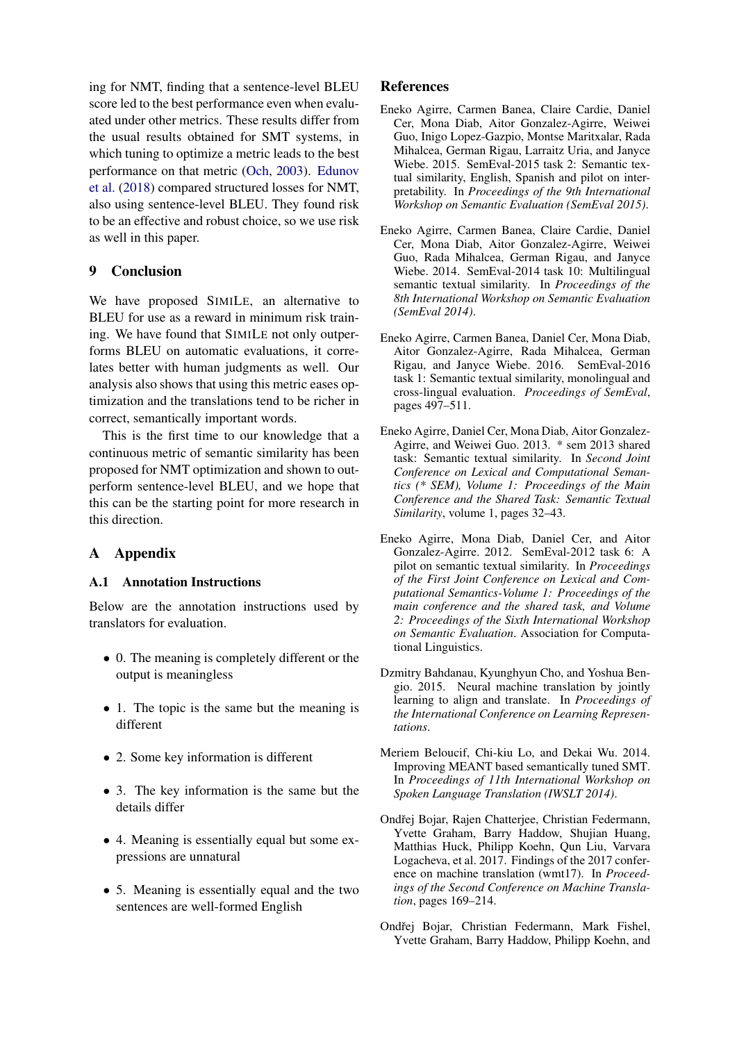ing for NMT, finding that a sentence-level BLEU score led to the best performance even when evaluated under other metrics. These results differ from the usual results obtained for SMT systems, in which tuning to optimize a metric leads to the best performance on that metric [\(Och,](#page-10-13) [2003\)](#page-10-13). [Edunov](#page-10-6) [et al.](#page-10-6) [\(2018\)](#page-10-6) compared structured losses for NMT, also using sentence-level BLEU. They found risk to be an effective and robust choice, so we use risk as well in this paper.

## 9 Conclusion

We have proposed SIMILE, an alternative to BLEU for use as a reward in minimum risk training. We have found that SIMILE not only outperforms BLEU on automatic evaluations, it correlates better with human judgments as well. Our analysis also shows that using this metric eases optimization and the translations tend to be richer in correct, semantically important words.

This is the first time to our knowledge that a continuous metric of semantic similarity has been proposed for NMT optimization and shown to outperform sentence-level BLEU, and we hope that this can be the starting point for more research in this direction.

# A Appendix

## <span id="page-9-8"></span>A.1 Annotation Instructions

Below are the annotation instructions used by translators for evaluation.

- 0. The meaning is completely different or the output is meaningless
- 1. The topic is the same but the meaning is different
- 2. Some key information is different
- 3. The key information is the same but the details differ
- 4. Meaning is essentially equal but some expressions are unnatural
- 5. Meaning is essentially equal and the two sentences are well-formed English

## References

- <span id="page-9-6"></span>Eneko Agirre, Carmen Banea, Claire Cardie, Daniel Cer, Mona Diab, Aitor Gonzalez-Agirre, Weiwei Guo, Inigo Lopez-Gazpio, Montse Maritxalar, Rada Mihalcea, German Rigau, Larraitz Uria, and Janyce Wiebe. 2015. SemEval-2015 task 2: Semantic textual similarity, English, Spanish and pilot on interpretability. In *Proceedings of the 9th International Workshop on Semantic Evaluation (SemEval 2015)*.
- <span id="page-9-5"></span>Eneko Agirre, Carmen Banea, Claire Cardie, Daniel Cer, Mona Diab, Aitor Gonzalez-Agirre, Weiwei Guo, Rada Mihalcea, German Rigau, and Janyce Wiebe. 2014. SemEval-2014 task 10: Multilingual semantic textual similarity. In *Proceedings of the 8th International Workshop on Semantic Evaluation (SemEval 2014)*.
- <span id="page-9-7"></span>Eneko Agirre, Carmen Banea, Daniel Cer, Mona Diab, Aitor Gonzalez-Agirre, Rada Mihalcea, German Rigau, and Janyce Wiebe. 2016. SemEval-2016 task 1: Semantic textual similarity, monolingual and cross-lingual evaluation. *Proceedings of SemEval*, pages 497–511.
- <span id="page-9-4"></span>Eneko Agirre, Daniel Cer, Mona Diab, Aitor Gonzalez-Agirre, and Weiwei Guo. 2013. \* sem 2013 shared task: Semantic textual similarity. In *Second Joint Conference on Lexical and Computational Semantics (\* SEM), Volume 1: Proceedings of the Main Conference and the Shared Task: Semantic Textual Similarity*, volume 1, pages 32–43.
- <span id="page-9-3"></span>Eneko Agirre, Mona Diab, Daniel Cer, and Aitor Gonzalez-Agirre. 2012. SemEval-2012 task 6: A pilot on semantic textual similarity. In *Proceedings of the First Joint Conference on Lexical and Computational Semantics-Volume 1: Proceedings of the main conference and the shared task, and Volume 2: Proceedings of the Sixth International Workshop on Semantic Evaluation*. Association for Computational Linguistics.
- <span id="page-9-2"></span>Dzmitry Bahdanau, Kyunghyun Cho, and Yoshua Bengio. 2015. Neural machine translation by jointly learning to align and translate. In *Proceedings of the International Conference on Learning Representations*.
- <span id="page-9-9"></span>Meriem Beloucif, Chi-kiu Lo, and Dekai Wu. 2014. Improving MEANT based semantically tuned SMT. In *Proceedings of 11th International Workshop on Spoken Language Translation (IWSLT 2014)*.
- <span id="page-9-1"></span>Ondřej Bojar, Rajen Chatterjee, Christian Federmann, Yvette Graham, Barry Haddow, Shujian Huang, Matthias Huck, Philipp Koehn, Qun Liu, Varvara Logacheva, et al. 2017. Findings of the 2017 conference on machine translation (wmt17). In *Proceedings of the Second Conference on Machine Translation*, pages 169–214.
- <span id="page-9-0"></span>Ondřej Bojar, Christian Federmann, Mark Fishel, Yvette Graham, Barry Haddow, Philipp Koehn, and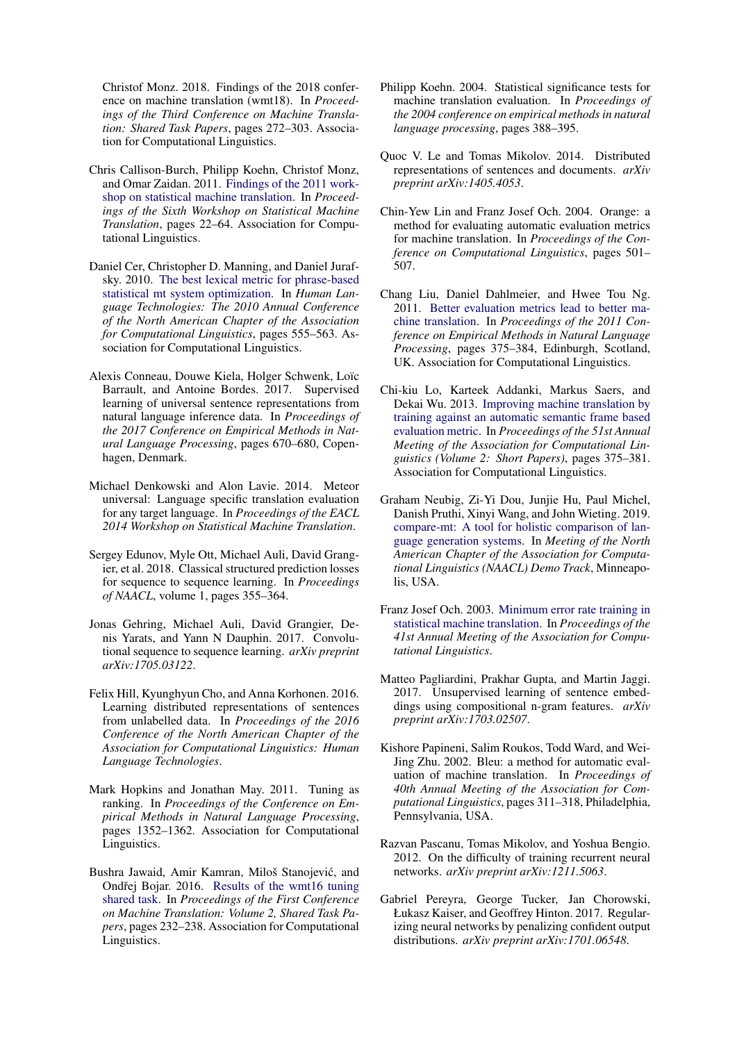Christof Monz. 2018. Findings of the 2018 conference on machine translation (wmt18). In *Proceedings of the Third Conference on Machine Translation: Shared Task Papers*, pages 272–303. Association for Computational Linguistics.

- <span id="page-10-16"></span>Chris Callison-Burch, Philipp Koehn, Christof Monz, and Omar Zaidan. 2011. [Findings of the 2011 work](http://aclweb.org/anthology/W11-2103)[shop on statistical machine translation.](http://aclweb.org/anthology/W11-2103) In *Proceedings of the Sixth Workshop on Statistical Machine Translation*, pages 22–64. Association for Computational Linguistics.
- <span id="page-10-15"></span>Daniel Cer, Christopher D. Manning, and Daniel Jurafsky. 2010. [The best lexical metric for phrase-based](http://aclweb.org/anthology/N10-1080) [statistical mt system optimization.](http://aclweb.org/anthology/N10-1080) In *Human Language Technologies: The 2010 Annual Conference of the North American Chapter of the Association for Computational Linguistics*, pages 555–563. Association for Computational Linguistics.
- <span id="page-10-4"></span>Alexis Conneau, Douwe Kiela, Holger Schwenk, Loïc Barrault, and Antoine Bordes. 2017. Supervised learning of universal sentence representations from natural language inference data. In *Proceedings of the 2017 Conference on Empirical Methods in Natural Language Processing*, pages 670–680, Copenhagen, Denmark.
- <span id="page-10-1"></span>Michael Denkowski and Alon Lavie. 2014. Meteor universal: Language specific translation evaluation for any target language. In *Proceedings of the EACL 2014 Workshop on Statistical Machine Translation*.
- <span id="page-10-6"></span>Sergey Edunov, Myle Ott, Michael Auli, David Grangier, et al. 2018. Classical structured prediction losses for sequence to sequence learning. In *Proceedings of NAACL*, volume 1, pages 355–364.
- <span id="page-10-7"></span>Jonas Gehring, Michael Auli, David Grangier, Denis Yarats, and Yann N Dauphin. 2017. Convolutional sequence to sequence learning. *arXiv preprint arXiv:1705.03122*.
- <span id="page-10-3"></span>Felix Hill, Kyunghyun Cho, and Anna Korhonen. 2016. Learning distributed representations of sentences from unlabelled data. In *Proceedings of the 2016 Conference of the North American Chapter of the Association for Computational Linguistics: Human Language Technologies*.
- <span id="page-10-14"></span>Mark Hopkins and Jonathan May. 2011. Tuning as ranking. In *Proceedings of the Conference on Empirical Methods in Natural Language Processing*, pages 1352–1362. Association for Computational Linguistics.
- <span id="page-10-17"></span>Bushra Jawaid, Amir Kamran, Miloš Stanojević, and Ondřej Bojar. 2016. [Results of the wmt16 tuning](https://doi.org/10.18653/v1/W16-2303) [shared task.](https://doi.org/10.18653/v1/W16-2303) In *Proceedings of the First Conference on Machine Translation: Volume 2, Shared Task Papers*, pages 232–238. Association for Computational Linguistics.
- <span id="page-10-11"></span>Philipp Koehn. 2004. Statistical significance tests for machine translation evaluation. In *Proceedings of the 2004 conference on empirical methods in natural language processing*, pages 388–395.
- <span id="page-10-2"></span>Quoc V. Le and Tomas Mikolov. 2014. Distributed representations of sentences and documents. *arXiv preprint arXiv:1405.4053*.
- <span id="page-10-9"></span>Chin-Yew Lin and Franz Josef Och. 2004. Orange: a method for evaluating automatic evaluation metrics for machine translation. In *Proceedings of the Conference on Computational Linguistics*, pages 501– 507.
- <span id="page-10-19"></span>Chang Liu, Daniel Dahlmeier, and Hwee Tou Ng. 2011. [Better evaluation metrics lead to better ma](http://www.aclweb.org/anthology/D11-1035)[chine translation.](http://www.aclweb.org/anthology/D11-1035) In *Proceedings of the 2011 Conference on Empirical Methods in Natural Language Processing*, pages 375–384, Edinburgh, Scotland, UK. Association for Computational Linguistics.
- <span id="page-10-18"></span>Chi-kiu Lo, Karteek Addanki, Markus Saers, and Dekai Wu. 2013. [Improving machine translation by](http://aclweb.org/anthology/P13-2067) [training against an automatic semantic frame based](http://aclweb.org/anthology/P13-2067) [evaluation metric.](http://aclweb.org/anthology/P13-2067) In *Proceedings of the 51st Annual Meeting of the Association for Computational Linguistics (Volume 2: Short Papers)*, pages 375–381. Association for Computational Linguistics.
- <span id="page-10-12"></span>Graham Neubig, Zi-Yi Dou, Junjie Hu, Paul Michel, Danish Pruthi, Xinyi Wang, and John Wieting. 2019. [compare-mt: A tool for holistic comparison of lan](http://arxiv.org/abs/1903.07926)[guage generation systems.](http://arxiv.org/abs/1903.07926) In *Meeting of the North American Chapter of the Association for Computational Linguistics (NAACL) Demo Track*, Minneapolis, USA.
- <span id="page-10-13"></span>Franz Josef Och. 2003. [Minimum error rate training in](http://aclweb.org/anthology/P03-1021) [statistical machine translation.](http://aclweb.org/anthology/P03-1021) In *Proceedings of the 41st Annual Meeting of the Association for Computational Linguistics*.
- <span id="page-10-5"></span>Matteo Pagliardini, Prakhar Gupta, and Martin Jaggi. 2017. Unsupervised learning of sentence embeddings using compositional n-gram features. *arXiv preprint arXiv:1703.02507*.
- <span id="page-10-0"></span>Kishore Papineni, Salim Roukos, Todd Ward, and Wei-Jing Zhu. 2002. Bleu: a method for automatic evaluation of machine translation. In *Proceedings of 40th Annual Meeting of the Association for Computational Linguistics*, pages 311–318, Philadelphia, Pennsylvania, USA.
- <span id="page-10-10"></span>Razvan Pascanu, Tomas Mikolov, and Yoshua Bengio. 2012. On the difficulty of training recurrent neural networks. *arXiv preprint arXiv:1211.5063*.
- <span id="page-10-8"></span>Gabriel Pereyra, George Tucker, Jan Chorowski, Łukasz Kaiser, and Geoffrey Hinton. 2017. Regularizing neural networks by penalizing confident output distributions. *arXiv preprint arXiv:1701.06548*.